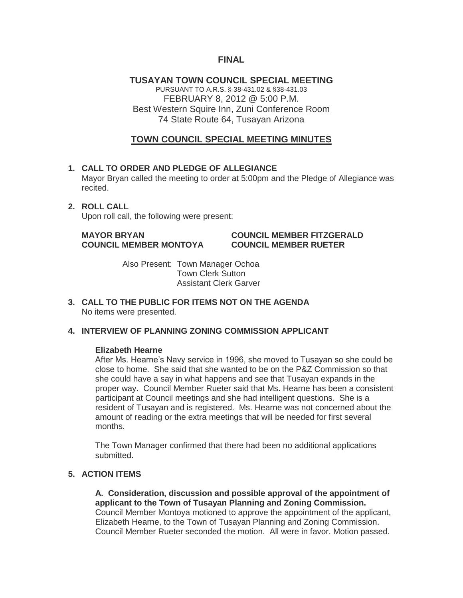# **FINAL**

**TUSAYAN TOWN COUNCIL SPECIAL MEETING** PURSUANT TO A.R.S. § 38-431.02 & §38-431.03 FEBRUARY 8, 2012 @ 5:00 P.M. Best Western Squire Inn, Zuni Conference Room 74 State Route 64, Tusayan Arizona

# **TOWN COUNCIL SPECIAL MEETING MINUTES**

## **1. CALL TO ORDER AND PLEDGE OF ALLEGIANCE**

Mayor Bryan called the meeting to order at 5:00pm and the Pledge of Allegiance was recited.

#### **2. ROLL CALL**

Upon roll call, the following were present:

## **MAYOR BRYAN COUNCIL MEMBER FITZGERALD COUNCIL MEMBER MONTOYA COUNCIL MEMBER RUETER**

Also Present: Town Manager Ochoa Town Clerk Sutton Assistant Clerk Garver

**3. CALL TO THE PUBLIC FOR ITEMS NOT ON THE AGENDA**  No items were presented.

## **4. INTERVIEW OF PLANNING ZONING COMMISSION APPLICANT**

#### **Elizabeth Hearne**

After Ms. Hearne's Navy service in 1996, she moved to Tusayan so she could be close to home. She said that she wanted to be on the P&Z Commission so that she could have a say in what happens and see that Tusayan expands in the proper way. Council Member Rueter said that Ms. Hearne has been a consistent participant at Council meetings and she had intelligent questions. She is a resident of Tusayan and is registered. Ms. Hearne was not concerned about the amount of reading or the extra meetings that will be needed for first several months.

The Town Manager confirmed that there had been no additional applications submitted.

# **5. ACTION ITEMS**

**A. Consideration, discussion and possible approval of the appointment of applicant to the Town of Tusayan Planning and Zoning Commission.** Council Member Montoya motioned to approve the appointment of the applicant, Elizabeth Hearne, to the Town of Tusayan Planning and Zoning Commission. Council Member Rueter seconded the motion. All were in favor. Motion passed.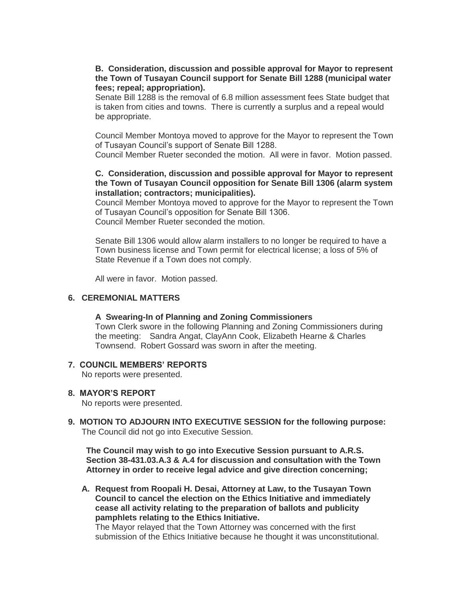## **B. Consideration, discussion and possible approval for Mayor to represent the Town of Tusayan Council support for Senate Bill 1288 (municipal water fees; repeal; appropriation).**

Senate Bill 1288 is the removal of 6.8 million assessment fees State budget that is taken from cities and towns. There is currently a surplus and a repeal would be appropriate.

Council Member Montoya moved to approve for the Mayor to represent the Town of Tusayan Council's support of Senate Bill 1288.

Council Member Rueter seconded the motion. All were in favor. Motion passed.

## **C. Consideration, discussion and possible approval for Mayor to represent the Town of Tusayan Council opposition for Senate Bill 1306 (alarm system installation; contractors; municipalities).**

Council Member Montoya moved to approve for the Mayor to represent the Town of Tusayan Council's opposition for Senate Bill 1306. Council Member Rueter seconded the motion.

Senate Bill 1306 would allow alarm installers to no longer be required to have a Town business license and Town permit for electrical license; a loss of 5% of State Revenue if a Town does not comply.

All were in favor. Motion passed.

#### **6. CEREMONIAL MATTERS**

#### **A Swearing-In of Planning and Zoning Commissioners**

Town Clerk swore in the following Planning and Zoning Commissioners during the meeting: Sandra Angat, ClayAnn Cook, Elizabeth Hearne & Charles Townsend. Robert Gossard was sworn in after the meeting.

#### **7. COUNCIL MEMBERS' REPORTS**

No reports were presented.

#### **8. MAYOR'S REPORT**

No reports were presented.

**9. MOTION TO ADJOURN INTO EXECUTIVE SESSION for the following purpose:** The Council did not go into Executive Session.

**The Council may wish to go into Executive Session pursuant to A.R.S. Section 38-431.03.A.3 & A.4 for discussion and consultation with the Town Attorney in order to receive legal advice and give direction concerning;**

**A. Request from Roopali H. Desai, Attorney at Law, to the Tusayan Town Council to cancel the election on the Ethics Initiative and immediately cease all activity relating to the preparation of ballots and publicity pamphlets relating to the Ethics Initiative.**

The Mayor relayed that the Town Attorney was concerned with the first submission of the Ethics Initiative because he thought it was unconstitutional.